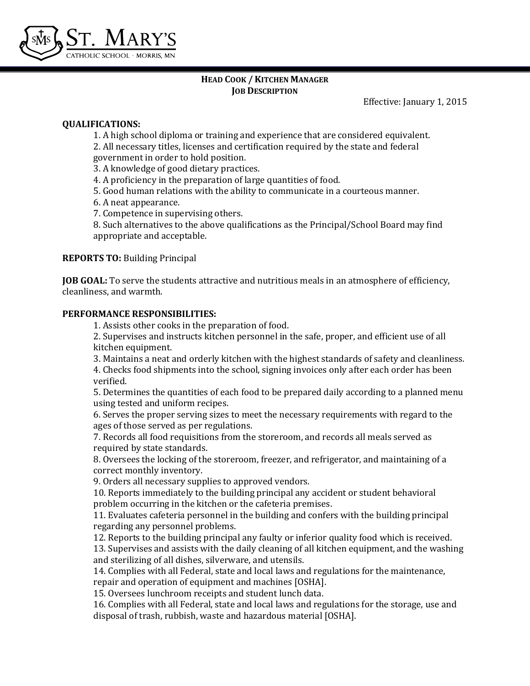

## **HEAD COOK / KITCHEN MANAGER JOB DESCRIPTION**

Effective: January 1, 2015

## **QUALIFICATIONS:**

1. A high school diploma or training and experience that are considered equivalent.

2. All necessary titles, licenses and certification required by the state and federal

government in order to hold position.

3. A knowledge of good dietary practices.

4. A proficiency in the preparation of large quantities of food.

5. Good human relations with the ability to communicate in a courteous manner.

6. A neat appearance.

7. Competence in supervising others.

8. Such alternatives to the above qualifications as the Principal/School Board may find appropriate and acceptable.

**REPORTS TO:** Building Principal

**JOB GOAL:** To serve the students attractive and nutritious meals in an atmosphere of efficiency, cleanliness, and warmth.

# **PERFORMANCE RESPONSIBILITIES:**

1. Assists other cooks in the preparation of food.

2. Supervises and instructs kitchen personnel in the safe, proper, and efficient use of all kitchen equipment.

3. Maintains a neat and orderly kitchen with the highest standards of safety and cleanliness.

4. Checks food shipments into the school, signing invoices only after each order has been verified.

5. Determines the quantities of each food to be prepared daily according to a planned menu using tested and uniform recipes.

6. Serves the proper serving sizes to meet the necessary requirements with regard to the ages of those served as per regulations.

7. Records all food requisitions from the storeroom, and records all meals served as required by state standards.

8. Oversees the locking of the storeroom, freezer, and refrigerator, and maintaining of a correct monthly inventory.

9. Orders all necessary supplies to approved vendors.

10. Reports immediately to the building principal any accident or student behavioral problem occurring in the kitchen or the cafeteria premises.

11. Evaluates cafeteria personnel in the building and confers with the building principal regarding any personnel problems.

12. Reports to the building principal any faulty or inferior quality food which is received. 13. Supervises and assists with the daily cleaning of all kitchen equipment, and the washing and sterilizing of all dishes, silverware, and utensils.

14. Complies with all Federal, state and local laws and regulations for the maintenance, repair and operation of equipment and machines [OSHA].

15. Oversees lunchroom receipts and student lunch data.

16. Complies with all Federal, state and local laws and regulations for the storage, use and disposal of trash, rubbish, waste and hazardous material [OSHA].